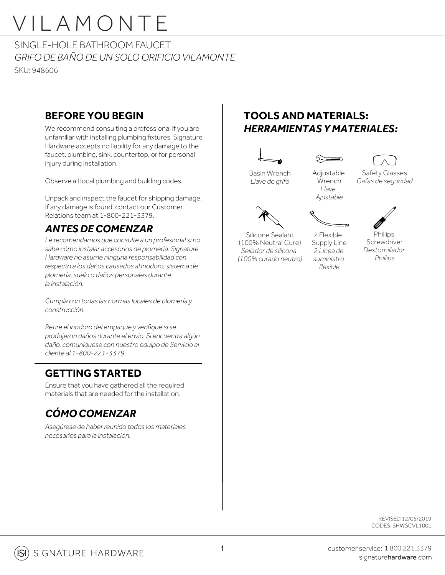SINGLE-HOLE BATHROOM FAUCET *GRIFO DE BAÑO DE UN SOLO ORIFICIO VILAMONTE*  SKU: 948606

#### **BEFORE YOU BEGIN**

We recommend consulting a professional if you are unfamiliar with installing plumbing fixtures. Signature Hardware accepts no liability for any damage to the faucet, plumbing, sink, countertop, or for personal injury during installation.

Observe all local plumbing and building codes.

Unpack and inspect the faucet for shipping damage. If any damage is found, contact our Customer Relations team at 1-800-221-3379.

### *ANTES DE COMENZAR*

*Le recomendamos que consulte a un profesional si no sabe cómo instalar accesorios de plomería. Signature Hardware no asume ninguna responsabilidad con respecto a los daños causados al inodoro, sistema de plomería, suelo o daños personales durante la instalación.*

*Cumpla con todas las normas locales de plomería y construcción.*

*Retire el inodoro del empaque y verifique si se produjeron daños durante el envío. Si encuentra algún daño, comuníquese con nuestro equipo de Servicio al cliente al 1-800-221-3379.*

### **GETTING STARTED**

Ensure that you have gathered all the required materials that are needed for the installation.

### *CÓMO COMENZAR*

*Asegúrese de haber reunido todos los materiales necesarios para la instalación.*

### **TOOLS AND MATERIALS:** *HERRAMIENTAS Y MATERIALES:*





Basin Wrench *Llave de grifo*



**Wrench** *Llave Ajustable*

Safety Glasses *Gafas de seguridad*



2 Flexible

Silicone Sealant (100% Neutral Cure) *Sellador de silicona (100% curado neutro)* Supply Line *2 Línea de suministro flexible*

**Phillips** Screwdriver *Destornillador Phillips*

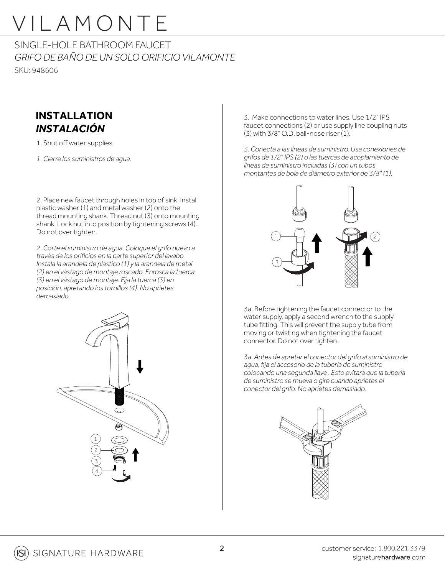SINGLE-HOLE BATHROOM FAUCET *GRIFO DE BAÑO DE UN SOLO ORIFICIO VILAMONTE*  SKU: 948606

#### **INSTALLATION** *INSTALACIÓN*

1. Shut off water supplies.

*1. Cierre los suministros de agua.*

2. Place new faucet through holes in top of sink. Install plastic washer (1) and metal washer (2) onto the thread mounting shank. Thread nut (3) onto mounting shank. Lock nut into position by tightening screws (4). Do not over tighten.

*2. Corte el suministro de agua. Coloque el grifo nuevo a través de los orificios en la parte superior del lavabo. Instala la arandela de plástico (1) y la arandela de metal (2) en el vástago de montaje roscado. Enrosca la tuerca (3) en el vástago de montaje. Fija la tuerca (3) en posición, apretando los tornillos (4). No aprietes demasiado.*



3. Make connections to water lines. Use 1/2" IPS faucet connections (2) or use supply line coupling nuts  $(3)$  with 3/8" O.D. ball-nose riser  $(1)$ .

*3. Conecta a las líneas de suministro. Usa conexiones de grifos de 1/2" IPS (2) o las tuercas de acoplamiento de líneas de suministro incluidas (3) con un tubos montantes de bola de diámetro exterior de 3/8" (1).*



3a. Before tightening the faucet connector to the water supply, apply a second wrench to the supply tube fitting. This will prevent the supply tube from moving or twisting when tightening the faucet connector. Do not over tighten.

*3a. Antes de apretar el conector del grifo al suministro de agua, fija el accesorio de la tubería de suministro colocando una segunda llave . Esto evitará que la tubería de suministro se mueva o gire cuando aprietes el conector del grifo. No aprietes demasiado.*

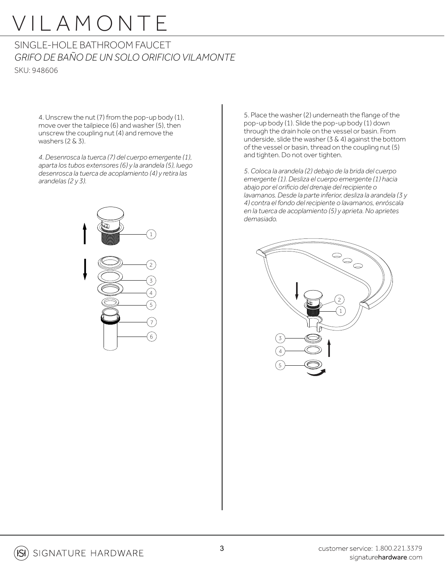#### SINGLE-HOLE BATHROOM FAUCET *GRIFO DE BAÑO DE UN SOLO ORIFICIO VILAMONTE*  SKU: 948606

4. Unscrew the nut (7) from the pop-up body (1), move over the tailpiece (6) and washer (5), then unscrew the coupling nut (4) and remove the washers (2 & 3).

*4. Desenrosca la tuerca (7) del cuerpo emergente (1), aparta los tubos extensores (6) y la arandela (5), luego desenrosca la tuerca de acoplamiento (4) y retira las arandelas (2 y 3).*



5. Place the washer (2) underneath the flange of the pop-up body (1). Slide the pop-up body (1) down through the drain hole on the vessel or basin. From underside, slide the washer  $(3 \& 4)$  against the bottom of the vessel or basin, thread on the coupling nut (5) and tighten. Do not over tighten.

*5. Coloca la arandela (2) debajo de la brida del cuerpo emergente (1). Desliza el cuerpo emergente (1) hacia abajo por el orificio del drenaje del recipiente o lavamanos. Desde la parte inferior, desliza la arandela (3 y 4) contra el fondo del recipiente o lavamanos, enróscala en la tuerca de acoplamiento (5) y aprieta. No aprietes demasiado.*



**ISI**